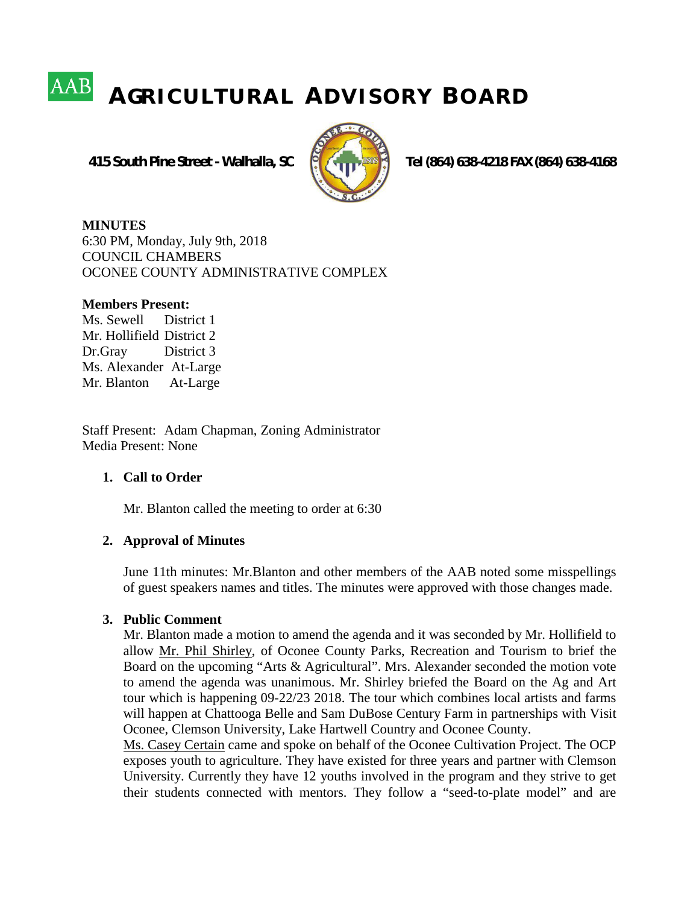# **AAB A GR I C U L T U R A L A D V I S O R Y B O A R D**

 **415 South Pine Street - Walhalla, SC Tel (864) 638-4218 FAX (864) 638-4168**



**MINUTES** 6:30 PM, Monday, July 9th, 2018 COUNCIL CHAMBERS OCONEE COUNTY ADMINISTRATIVE COMPLEX

#### **Members Present:**

Ms. Sewell District 1 Mr. Hollifield District 2 Dr.Gray District 3 Ms. Alexander At-Large Mr. Blanton At-Large

Staff Present: Adam Chapman, Zoning Administrator Media Present: None

## **1. Call to Order**

Mr. Blanton called the meeting to order at 6:30

## **2. Approval of Minutes**

June 11th minutes: Mr.Blanton and other members of the AAB noted some misspellings of guest speakers names and titles. The minutes were approved with those changes made.

## **3. Public Comment**

Mr. Blanton made a motion to amend the agenda and it was seconded by Mr. Hollifield to allow Mr. Phil Shirley, of Oconee County Parks, Recreation and Tourism to brief the Board on the upcoming "Arts & Agricultural". Mrs. Alexander seconded the motion vote to amend the agenda was unanimous. Mr. Shirley briefed the Board on the Ag and Art tour which is happening 09-22/23 2018. The tour which combines local artists and farms will happen at Chattooga Belle and Sam DuBose Century Farm in partnerships with Visit Oconee, Clemson University, Lake Hartwell Country and Oconee County.

Ms. Casey Certain came and spoke on behalf of the Oconee Cultivation Project. The OCP exposes youth to agriculture. They have existed for three years and partner with Clemson University. Currently they have 12 youths involved in the program and they strive to get their students connected with mentors. They follow a "seed-to-plate model" and are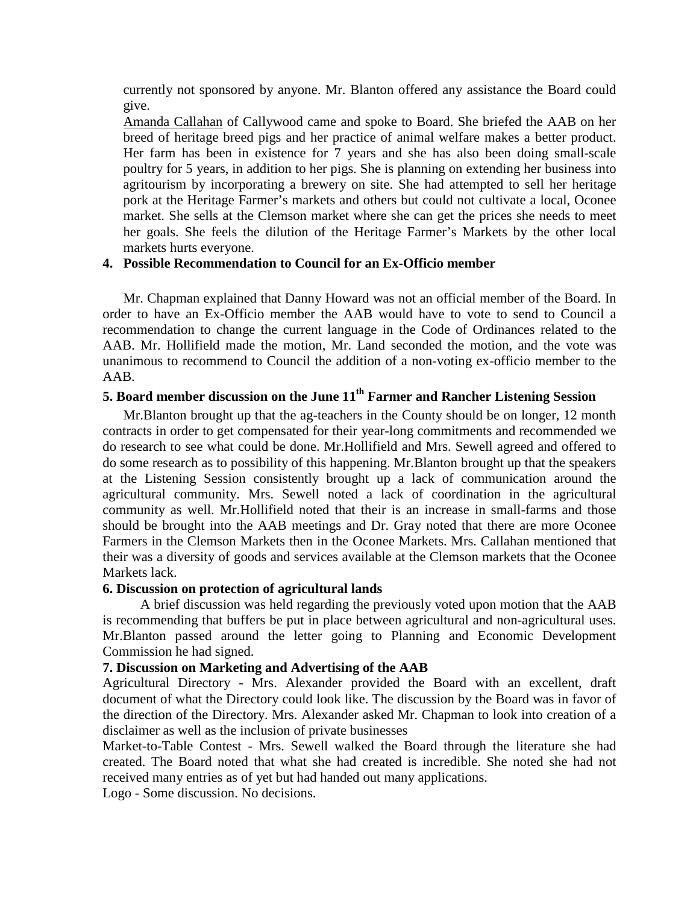currently not sponsored by anyone. Mr. Blanton offered any assistance the Board could give.

Amanda Callahan of Callywood came and spoke to Board. She briefed the AAB on her breed of heritage breed pigs and her practice of animal welfare makes a better product. Her farm has been in existence for 7 years and she has also been doing small-scale poultry for 5 years, in addition to her pigs. She is planning on extending her business into agritourism by incorporating a brewery on site. She had attempted to sell her heritage pork at the Heritage Farmer's markets and others but could not cultivate a local, Oconee market. She sells at the Clemson market where she can get the prices she needs to meet her goals. She feels the dilution of the Heritage Farmer's Markets by the other local markets hurts everyone.

#### **4. Possible Recommendation to Council for an Ex-Officio member**

Mr. Chapman explained that Danny Howard was not an official member of the Board. In order to have an Ex-Officio member the AAB would have to vote to send to Council a recommendation to change the current language in the Code of Ordinances related to the AAB. Mr. Hollifield made the motion, Mr. Land seconded the motion, and the vote was unanimous to recommend to Council the addition of a non-voting ex-officio member to the AAB.

## **5. Board member discussion on the June 11th Farmer and Rancher Listening Session**

Mr.Blanton brought up that the ag-teachers in the County should be on longer, 12 month contracts in order to get compensated for their year-long commitments and recommended we do research to see what could be done. Mr.Hollifield and Mrs. Sewell agreed and offered to do some research as to possibility of this happening. Mr.Blanton brought up that the speakers at the Listening Session consistently brought up a lack of communication around the agricultural community. Mrs. Sewell noted a lack of coordination in the agricultural community as well. Mr.Hollifield noted that their is an increase in small-farms and those should be brought into the AAB meetings and Dr. Gray noted that there are more Oconee Farmers in the Clemson Markets then in the Oconee Markets. Mrs. Callahan mentioned that their was a diversity of goods and services available at the Clemson markets that the Oconee Markets lack.

#### **6. Discussion on protection of agricultural lands**

 A brief discussion was held regarding the previously voted upon motion that the AAB is recommending that buffers be put in place between agricultural and non-agricultural uses. Mr.Blanton passed around the letter going to Planning and Economic Development Commission he had signed.

#### **7. Discussion on Marketing and Advertising of the AAB**

Agricultural Directory - Mrs. Alexander provided the Board with an excellent, draft document of what the Directory could look like. The discussion by the Board was in favor of the direction of the Directory. Mrs. Alexander asked Mr. Chapman to look into creation of a disclaimer as well as the inclusion of private businesses

Market-to-Table Contest - Mrs. Sewell walked the Board through the literature she had created. The Board noted that what she had created is incredible. She noted she had not received many entries as of yet but had handed out many applications.

Logo - Some discussion. No decisions.